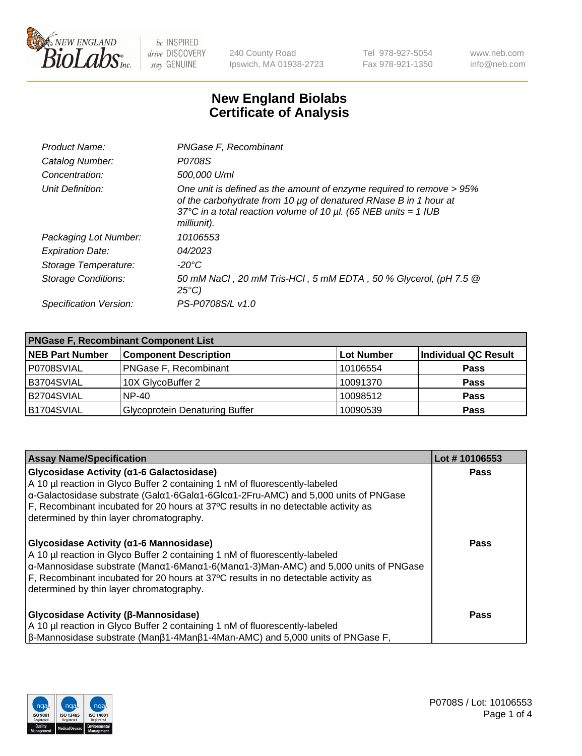

240 County Road Ipswich, MA 01938-2723 Tel 978-927-5054 Fax 978-921-1350 www.neb.com info@neb.com

## **New England Biolabs Certificate of Analysis**

| Product Name:              | PNGase F, Recombinant                                                                                                                                                                                                           |
|----------------------------|---------------------------------------------------------------------------------------------------------------------------------------------------------------------------------------------------------------------------------|
| Catalog Number:            | P0708S                                                                                                                                                                                                                          |
| Concentration:             | 500,000 U/ml                                                                                                                                                                                                                    |
| Unit Definition:           | One unit is defined as the amount of enzyme required to remove > 95%<br>of the carbohydrate from 10 µg of denatured RNase B in 1 hour at<br>37°C in a total reaction volume of 10 $\mu$ l. (65 NEB units = 1 IUB<br>milliunit). |
| Packaging Lot Number:      | 10106553                                                                                                                                                                                                                        |
| <b>Expiration Date:</b>    | 04/2023                                                                                                                                                                                                                         |
| Storage Temperature:       | -20°C                                                                                                                                                                                                                           |
| <b>Storage Conditions:</b> | 50 mM NaCl, 20 mM Tris-HCl, 5 mM EDTA, 50 % Glycerol, (pH 7.5 @<br>$25^{\circ}C$                                                                                                                                                |
| Specification Version:     | PS-P0708S/L v1.0                                                                                                                                                                                                                |

| <b>PNGase F, Recombinant Component List</b> |                                       |                   |                             |  |
|---------------------------------------------|---------------------------------------|-------------------|-----------------------------|--|
| <b>NEB Part Number</b>                      | <b>Component Description</b>          | <b>Lot Number</b> | <b>Individual QC Result</b> |  |
| P0708SVIAL                                  | <b>PNGase F, Recombinant</b>          | 10106554          | <b>Pass</b>                 |  |
| B3704SVIAL                                  | 10X GlycoBuffer 2                     | 10091370          | <b>Pass</b>                 |  |
| B2704SVIAL                                  | $NP-40$                               | 10098512          | <b>Pass</b>                 |  |
| B1704SVIAL                                  | <b>Glycoprotein Denaturing Buffer</b> | 10090539          | <b>Pass</b>                 |  |

| <b>Assay Name/Specification</b>                                                                                                                                                                                                                                                                                                                                                   | Lot #10106553 |
|-----------------------------------------------------------------------------------------------------------------------------------------------------------------------------------------------------------------------------------------------------------------------------------------------------------------------------------------------------------------------------------|---------------|
| Glycosidase Activity (α1-6 Galactosidase)<br>A 10 µl reaction in Glyco Buffer 2 containing 1 nM of fluorescently-labeled<br>α-Galactosidase substrate (Galα1-6Galα1-6Glcα1-2Fru-AMC) and 5,000 units of PNGase                                                                                                                                                                    | <b>Pass</b>   |
| F, Recombinant incubated for 20 hours at 37°C results in no detectable activity as<br>determined by thin layer chromatography.                                                                                                                                                                                                                                                    |               |
| Glycosidase Activity (α1-6 Mannosidase)<br>A 10 µl reaction in Glyco Buffer 2 containing 1 nM of fluorescently-labeled<br>$\alpha$ -Mannosidase substrate (Man $\alpha$ 1-6Man $\alpha$ 1-6(Man $\alpha$ 1-3)Man-AMC) and 5,000 units of PNGase<br>F, Recombinant incubated for 20 hours at 37°C results in no detectable activity as<br>determined by thin layer chromatography. | <b>Pass</b>   |
| <b>Glycosidase Activity (β-Mannosidase)</b><br>A 10 µl reaction in Glyco Buffer 2 containing 1 nM of fluorescently-labeled<br>$\beta$ -Mannosidase substrate (Man $\beta$ 1-4Man $\beta$ 1-4Man-AMC) and 5,000 units of PNGase F,                                                                                                                                                 | Pass          |

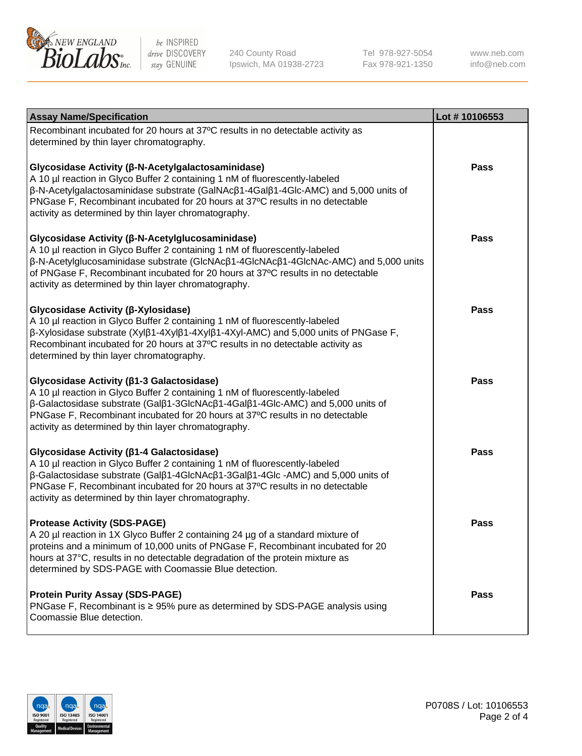

240 County Road Ipswich, MA 01938-2723 Tel 978-927-5054 Fax 978-921-1350

www.neb.com info@neb.com

| <b>Assay Name/Specification</b>                                                                                                                                                                                                                                                                                                                                                            | Lot #10106553 |
|--------------------------------------------------------------------------------------------------------------------------------------------------------------------------------------------------------------------------------------------------------------------------------------------------------------------------------------------------------------------------------------------|---------------|
| Recombinant incubated for 20 hours at 37°C results in no detectable activity as<br>determined by thin layer chromatography.                                                                                                                                                                                                                                                                |               |
| Glycosidase Activity (β-N-Acetylgalactosaminidase)<br>A 10 µl reaction in Glyco Buffer 2 containing 1 nM of fluorescently-labeled<br>β-N-Acetylgalactosaminidase substrate (GalNAcβ1-4Galβ1-4Glc-AMC) and 5,000 units of<br>PNGase F, Recombinant incubated for 20 hours at 37°C results in no detectable<br>activity as determined by thin layer chromatography.                          | Pass          |
| Glycosidase Activity (β-N-Acetylglucosaminidase)<br>A 10 µl reaction in Glyco Buffer 2 containing 1 nM of fluorescently-labeled<br>$\beta$ -N-Acetylglucosaminidase substrate (GlcNAc $\beta$ 1-4GlcNAc $\beta$ 1-4GlcNAc-AMC) and 5,000 units<br>of PNGase F, Recombinant incubated for 20 hours at 37°C results in no detectable<br>activity as determined by thin layer chromatography. | Pass          |
| Glycosidase Activity (β-Xylosidase)<br>A 10 µl reaction in Glyco Buffer 2 containing 1 nM of fluorescently-labeled<br>β-Xylosidase substrate (Xylβ1-4Xylβ1-4Xylβ1-4Xyl-AMC) and 5,000 units of PNGase F,<br>Recombinant incubated for 20 hours at 37°C results in no detectable activity as<br>determined by thin layer chromatography.                                                    | Pass          |
| Glycosidase Activity (β1-3 Galactosidase)<br>A 10 µl reaction in Glyco Buffer 2 containing 1 nM of fluorescently-labeled<br>$\beta$ -Galactosidase substrate (Gal $\beta$ 1-3GlcNAc $\beta$ 1-4Gal $\beta$ 1-4Glc-AMC) and 5,000 units of<br>PNGase F, Recombinant incubated for 20 hours at 37°C results in no detectable<br>activity as determined by thin layer chromatography.         | <b>Pass</b>   |
| Glycosidase Activity (β1-4 Galactosidase)<br>A 10 µl reaction in Glyco Buffer 2 containing 1 nM of fluorescently-labeled<br>$\beta$ -Galactosidase substrate (Gal $\beta$ 1-4GlcNAc $\beta$ 1-3Gal $\beta$ 1-4Glc -AMC) and 5,000 units of<br>PNGase F, Recombinant incubated for 20 hours at 37°C results in no detectable<br>activity as determined by thin layer chromatography.        | <b>Pass</b>   |
| <b>Protease Activity (SDS-PAGE)</b><br>A 20 µl reaction in 1X Glyco Buffer 2 containing 24 µg of a standard mixture of<br>proteins and a minimum of 10,000 units of PNGase F, Recombinant incubated for 20<br>hours at 37°C, results in no detectable degradation of the protein mixture as<br>determined by SDS-PAGE with Coomassie Blue detection.                                       | Pass          |
| <b>Protein Purity Assay (SDS-PAGE)</b><br>PNGase F, Recombinant is ≥ 95% pure as determined by SDS-PAGE analysis using<br>Coomassie Blue detection.                                                                                                                                                                                                                                        | Pass          |

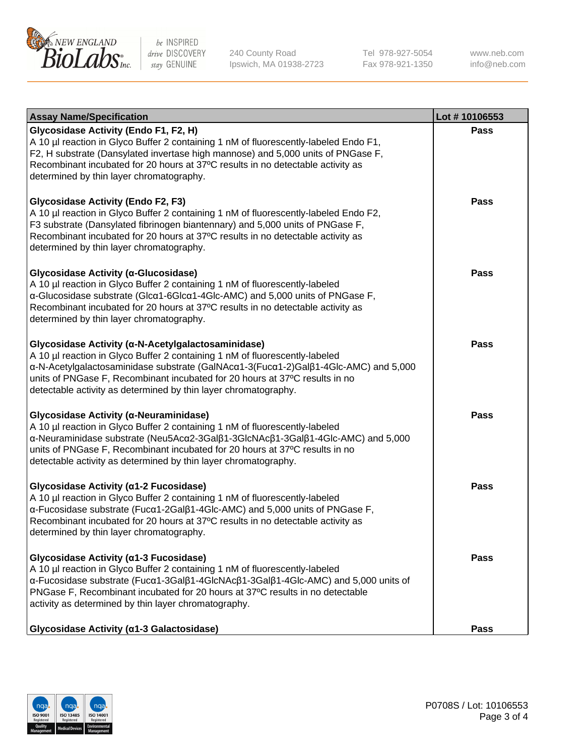

240 County Road Ipswich, MA 01938-2723 Tel 978-927-5054 Fax 978-921-1350 www.neb.com info@neb.com

| <b>Assay Name/Specification</b>                                                                                                                                                                                                                                                                                                                                            | Lot #10106553 |
|----------------------------------------------------------------------------------------------------------------------------------------------------------------------------------------------------------------------------------------------------------------------------------------------------------------------------------------------------------------------------|---------------|
| Glycosidase Activity (Endo F1, F2, H)<br>A 10 µl reaction in Glyco Buffer 2 containing 1 nM of fluorescently-labeled Endo F1,<br>F2, H substrate (Dansylated invertase high mannose) and 5,000 units of PNGase F,<br>Recombinant incubated for 20 hours at 37°C results in no detectable activity as<br>determined by thin layer chromatography.                           | Pass          |
| <b>Glycosidase Activity (Endo F2, F3)</b><br>A 10 µl reaction in Glyco Buffer 2 containing 1 nM of fluorescently-labeled Endo F2,<br>F3 substrate (Dansylated fibrinogen biantennary) and 5,000 units of PNGase F,<br>Recombinant incubated for 20 hours at 37°C results in no detectable activity as<br>determined by thin layer chromatography.                          | <b>Pass</b>   |
| Glycosidase Activity (α-Glucosidase)<br>A 10 µl reaction in Glyco Buffer 2 containing 1 nM of fluorescently-labeled<br>α-Glucosidase substrate (Glcα1-6Glcα1-4Glc-AMC) and 5,000 units of PNGase F,<br>Recombinant incubated for 20 hours at 37°C results in no detectable activity as<br>determined by thin layer chromatography.                                         | Pass          |
| Glycosidase Activity (α-N-Acetylgalactosaminidase)<br>A 10 µl reaction in Glyco Buffer 2 containing 1 nM of fluorescently-labeled<br>α-N-Acetylgalactosaminidase substrate (GalNAcα1-3(Fucα1-2)Galβ1-4Glc-AMC) and 5,000<br>units of PNGase F, Recombinant incubated for 20 hours at 37°C results in no<br>detectable activity as determined by thin layer chromatography. | Pass          |
| Glycosidase Activity (α-Neuraminidase)<br>A 10 µl reaction in Glyco Buffer 2 containing 1 nM of fluorescently-labeled<br>α-Neuraminidase substrate (Neu5Acα2-3Galβ1-3GlcNAcβ1-3Galβ1-4Glc-AMC) and 5,000<br>units of PNGase F, Recombinant incubated for 20 hours at 37°C results in no<br>detectable activity as determined by thin layer chromatography.                 | <b>Pass</b>   |
| Glycosidase Activity (α1-2 Fucosidase)<br>A 10 µl reaction in Glyco Buffer 2 containing 1 nM of fluorescently-labeled<br>α-Fucosidase substrate (Fucα1-2Galβ1-4Glc-AMC) and 5,000 units of PNGase F,<br>Recombinant incubated for 20 hours at 37°C results in no detectable activity as<br>determined by thin layer chromatography.                                        | <b>Pass</b>   |
| Glycosidase Activity (α1-3 Fucosidase)<br>A 10 µl reaction in Glyco Buffer 2 containing 1 nM of fluorescently-labeled<br>α-Fucosidase substrate (Fucα1-3Galβ1-4GlcNAcβ1-3Galβ1-4Glc-AMC) and 5,000 units of<br>PNGase F, Recombinant incubated for 20 hours at 37°C results in no detectable<br>activity as determined by thin layer chromatography.                       | Pass          |
| Glycosidase Activity (a1-3 Galactosidase)                                                                                                                                                                                                                                                                                                                                  | Pass          |